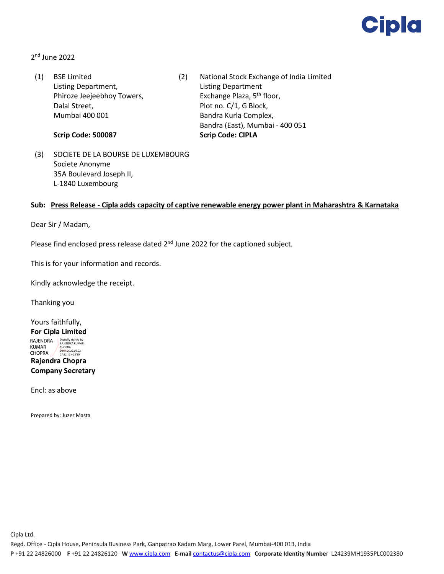

2nd June 2022

(1) BSE Limited Listing Department, Phiroze Jeejeebhoy Towers, Dalal Street, Mumbai 400 001

**Scrip Code: 500087**

- (2) National Stock Exchange of India Limited Listing Department Exchange Plaza, 5<sup>th</sup> floor, Plot no. C/1, G Block, Bandra Kurla Complex, Bandra (East), Mumbai - 400 051 **Scrip Code: CIPLA**
- (3) SOCIETE DE LA BOURSE DE LUXEMBOURG Societe Anonyme 35A Boulevard Joseph II, L-1840 Luxembourg

## **Sub: Press Release - Cipla adds capacity of captive renewable energy power plant in Maharashtra & Karnataka**

Dear Sir / Madam,

Please find enclosed press release dated  $2<sup>nd</sup>$  June 2022 for the captioned subject.

This is for your information and records.

Kindly acknowledge the receipt.

Thanking you

Yours faithfully, **For Cipla Limited** RAJENDRA **Digitally signed by RAJENDRA** KUMAR

**Rajendra Chopra** CHOPRA CHOPRA Date: 2022.06.02 07:22:12 +05'30'

**Company Secretary**

Encl: as above

Prepared by: Juzer Masta